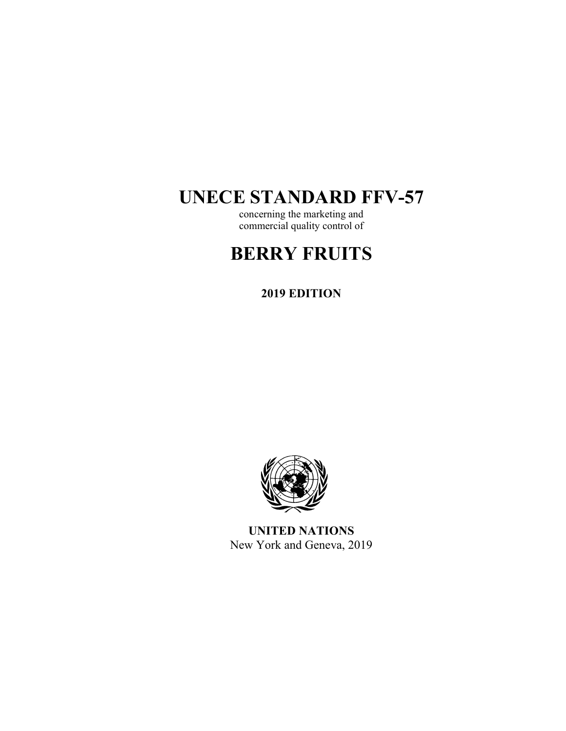# **UNECE STANDARD FFV-57**

concerning the marketing and commercial quality control of

# **BERRY FRUITS**

**2019 EDITION** 



**UNITED NATIONS**  New York and Geneva, 2019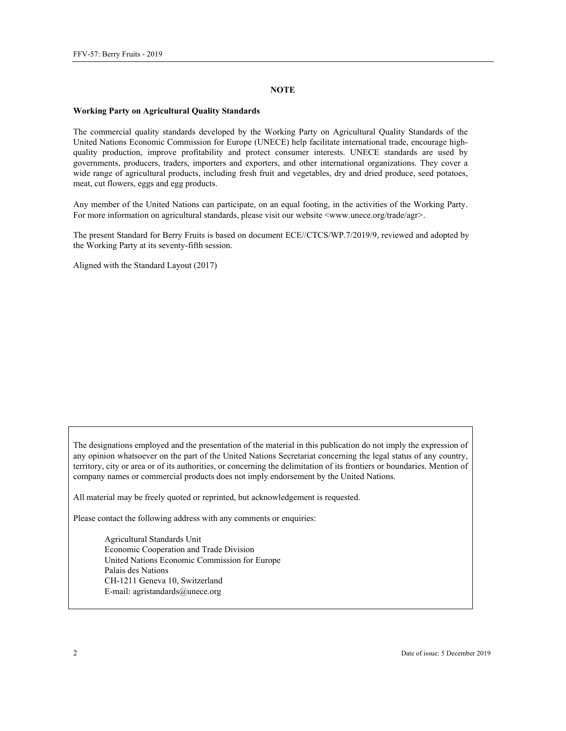#### **NOTE**

#### **Working Party on Agricultural Quality Standards**

The commercial quality standards developed by the Working Party on Agricultural Quality Standards of the United Nations Economic Commission for Europe (UNECE) help facilitate international trade, encourage highquality production, improve profitability and protect consumer interests. UNECE standards are used by governments, producers, traders, importers and exporters, and other international organizations. They cover a wide range of agricultural products, including fresh fruit and vegetables, dry and dried produce, seed potatoes, meat, cut flowers, eggs and egg products.

Any member of the United Nations can participate, on an equal footing, in the activities of the Working Party. For more information on agricultural standards, please visit our website <www.unece.org/trade/agr>.

The present Standard for Berry Fruits is based on document ECE//CTCS/WP.7/2019/9, reviewed and adopted by the Working Party at its seventy-fifth session.

Aligned with the Standard Layout (2017)

The designations employed and the presentation of the material in this publication do not imply the expression of any opinion whatsoever on the part of the United Nations Secretariat concerning the legal status of any country, territory, city or area or of its authorities, or concerning the delimitation of its frontiers or boundaries. Mention of company names or commercial products does not imply endorsement by the United Nations.

All material may be freely quoted or reprinted, but acknowledgement is requested.

Please contact the following address with any comments or enquiries:

Agricultural Standards Unit Economic Cooperation and Trade Division United Nations Economic Commission for Europe Palais des Nations CH-1211 Geneva 10, Switzerland E-mail: agristandards@unece.org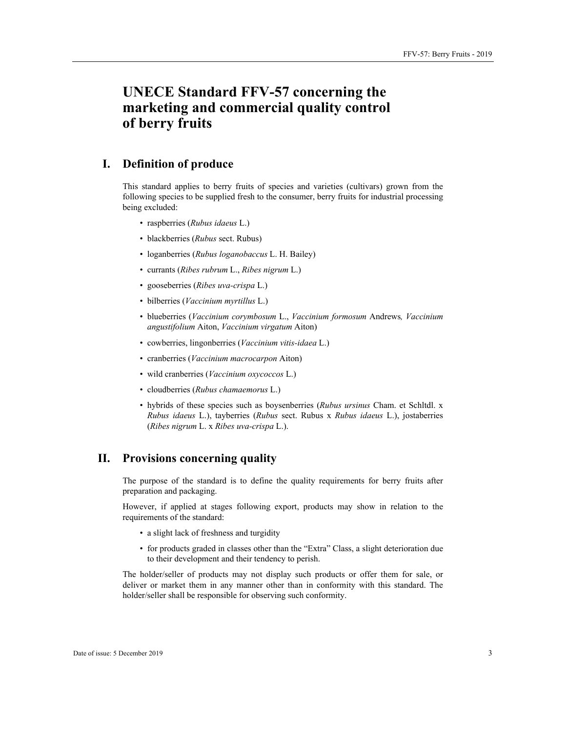# **UNECE Standard FFV-57 concerning the marketing and commercial quality control of berry fruits**

# **I. Definition of produce**

This standard applies to berry fruits of species and varieties (cultivars) grown from the following species to be supplied fresh to the consumer, berry fruits for industrial processing being excluded:

- raspberries (*Rubus idaeus* L.)
- blackberries (*Rubus* sect. Rubus)
- loganberries (*Rubus loganobaccus* L. H. Bailey)
- currants (*Ribes rubrum* L., *Ribes nigrum* L.)
- gooseberries (*Ribes uva-crispa* L.)
- bilberries (*Vaccinium myrtillus* L.)
- blueberries (*Vaccinium corymbosum* L., *Vaccinium formosum* Andrews*, Vaccinium angustifolium* Aiton, *Vaccinium virgatum* Aiton)
- cowberries, lingonberries (*Vaccinium vitis-idaea* L.)
- cranberries (*Vaccinium macrocarpon* Aiton)
- wild cranberries (*Vaccinium oxycoccos* L.)
- cloudberries (*Rubus chamaemorus* L.)
- hybrids of these species such as boysenberries (*Rubus ursinus* Cham. et Schltdl. x *Rubus idaeus* L.), tayberries (*Rubus* sect. Rubus x *Rubus idaeus* L.), jostaberries (*Ribes nigrum* L. x *Ribes uva-crispa* L.).

## **II. Provisions concerning quality**

The purpose of the standard is to define the quality requirements for berry fruits after preparation and packaging.

However, if applied at stages following export, products may show in relation to the requirements of the standard:

- a slight lack of freshness and turgidity
- for products graded in classes other than the "Extra" Class, a slight deterioration due to their development and their tendency to perish.

The holder/seller of products may not display such products or offer them for sale, or deliver or market them in any manner other than in conformity with this standard. The holder/seller shall be responsible for observing such conformity.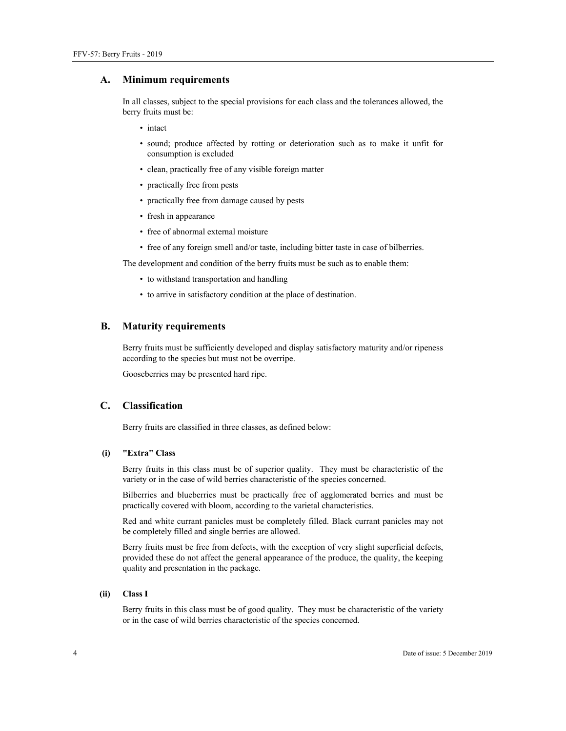#### **A. Minimum requirements**

In all classes, subject to the special provisions for each class and the tolerances allowed, the berry fruits must be:

- intact
- sound; produce affected by rotting or deterioration such as to make it unfit for consumption is excluded
- clean, practically free of any visible foreign matter
- practically free from pests
- practically free from damage caused by pests
- fresh in appearance
- free of abnormal external moisture
- free of any foreign smell and/or taste, including bitter taste in case of bilberries.

The development and condition of the berry fruits must be such as to enable them:

- to withstand transportation and handling
- to arrive in satisfactory condition at the place of destination.

#### **B. Maturity requirements**

Berry fruits must be sufficiently developed and display satisfactory maturity and/or ripeness according to the species but must not be overripe.

Gooseberries may be presented hard ripe.

### **C. Classification**

Berry fruits are classified in three classes, as defined below:

#### **(i) "Extra" Class**

Berry fruits in this class must be of superior quality. They must be characteristic of the variety or in the case of wild berries characteristic of the species concerned.

Bilberries and blueberries must be practically free of agglomerated berries and must be practically covered with bloom, according to the varietal characteristics.

Red and white currant panicles must be completely filled. Black currant panicles may not be completely filled and single berries are allowed.

Berry fruits must be free from defects, with the exception of very slight superficial defects, provided these do not affect the general appearance of the produce, the quality, the keeping quality and presentation in the package.

#### **(ii) Class I**

Berry fruits in this class must be of good quality. They must be characteristic of the variety or in the case of wild berries characteristic of the species concerned.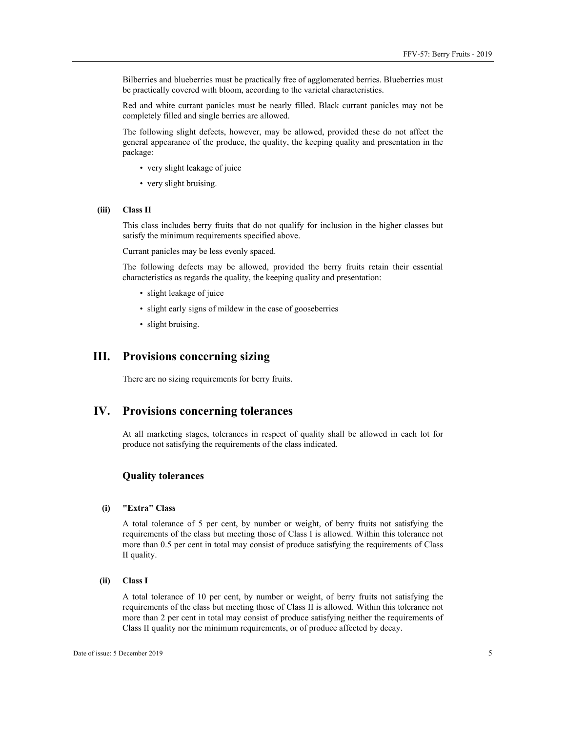Bilberries and blueberries must be practically free of agglomerated berries. Blueberries must be practically covered with bloom, according to the varietal characteristics.

Red and white currant panicles must be nearly filled. Black currant panicles may not be completely filled and single berries are allowed.

The following slight defects, however, may be allowed, provided these do not affect the general appearance of the produce, the quality, the keeping quality and presentation in the package:

- very slight leakage of juice
- very slight bruising.

#### **(iii) Class II**

This class includes berry fruits that do not qualify for inclusion in the higher classes but satisfy the minimum requirements specified above.

Currant panicles may be less evenly spaced.

The following defects may be allowed, provided the berry fruits retain their essential characteristics as regards the quality, the keeping quality and presentation:

- slight leakage of juice
- slight early signs of mildew in the case of gooseberries
- slight bruising.

# **III. Provisions concerning sizing**

There are no sizing requirements for berry fruits.

#### **IV. Provisions concerning tolerances**

At all marketing stages, tolerances in respect of quality shall be allowed in each lot for produce not satisfying the requirements of the class indicated.

#### **Quality tolerances**

## **(i) "Extra" Class**

A total tolerance of 5 per cent, by number or weight, of berry fruits not satisfying the requirements of the class but meeting those of Class I is allowed. Within this tolerance not more than 0.5 per cent in total may consist of produce satisfying the requirements of Class II quality.

#### **(ii) Class I**

A total tolerance of 10 per cent, by number or weight, of berry fruits not satisfying the requirements of the class but meeting those of Class II is allowed. Within this tolerance not more than 2 per cent in total may consist of produce satisfying neither the requirements of Class II quality nor the minimum requirements, or of produce affected by decay.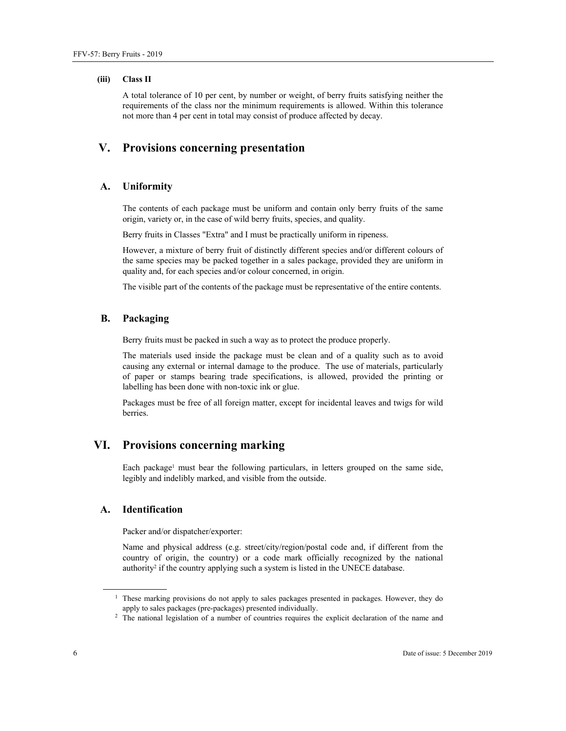#### **(iii) Class II**

A total tolerance of 10 per cent, by number or weight, of berry fruits satisfying neither the requirements of the class nor the minimum requirements is allowed. Within this tolerance not more than 4 per cent in total may consist of produce affected by decay.

# **V. Provisions concerning presentation**

#### **A. Uniformity**

The contents of each package must be uniform and contain only berry fruits of the same origin, variety or, in the case of wild berry fruits, species, and quality.

Berry fruits in Classes "Extra" and I must be practically uniform in ripeness.

However, a mixture of berry fruit of distinctly different species and/or different colours of the same species may be packed together in a sales package, provided they are uniform in quality and, for each species and/or colour concerned, in origin.

The visible part of the contents of the package must be representative of the entire contents.

#### **B. Packaging**

Berry fruits must be packed in such a way as to protect the produce properly.

The materials used inside the package must be clean and of a quality such as to avoid causing any external or internal damage to the produce. The use of materials, particularly of paper or stamps bearing trade specifications, is allowed, provided the printing or labelling has been done with non-toxic ink or glue.

Packages must be free of all foreign matter, except for incidental leaves and twigs for wild berries.

# **VI. Provisions concerning marking**

Each package<sup>1</sup> must bear the following particulars, in letters grouped on the same side, legibly and indelibly marked, and visible from the outside.

#### **A. Identification**

Packer and/or dispatcher/exporter:

Name and physical address (e.g. street/city/region/postal code and, if different from the country of origin, the country) or a code mark officially recognized by the national authority<sup>2</sup> if the country applying such a system is listed in the UNECE database.

 $\overline{a}$ 

<sup>&</sup>lt;sup>1</sup> These marking provisions do not apply to sales packages presented in packages. However, they do apply to sales packages (pre-packages) presented individually. 2

<sup>&</sup>lt;sup>2</sup> The national legislation of a number of countries requires the explicit declaration of the name and